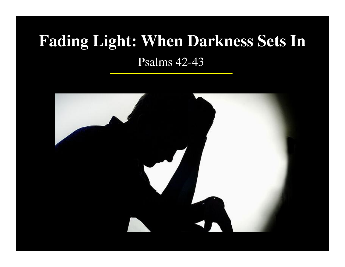# **Fading Light: When Darkness Sets In**

Psalms 42-43

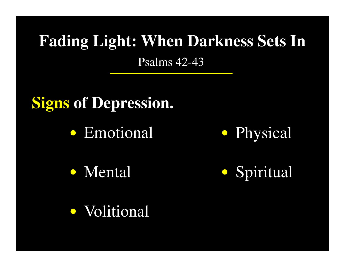## **Signs of Depression.**

● Emotional

● Physical

● Mental

Spiritual**●**

● Volitional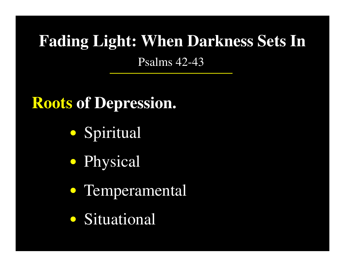## **Roots of Depression.**

- Spiritual**●**
- Physical**●**
- Temperamental **●**
- Situational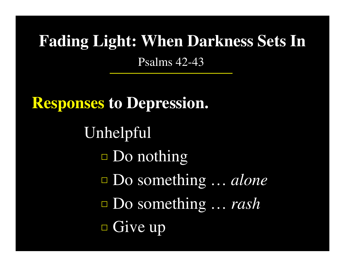**Responses to Depression.** UnhelpfulDo nothingDo something … *alone*Do something … *rash*Give up**□□□□**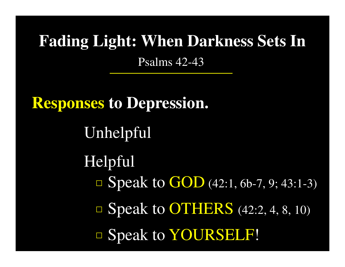**Responses to Depression.** UnhelpfulHelpfulSpeak to GOD (42:1, 6b-7, 9; 43:1-3) **□**■ Speak to OTHERS (42:2, 4, 8, 10) Speak to YOURSELF! **□**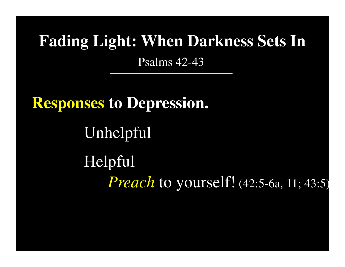**Responses to Depression.** UnhelpfulHelpful*Preach* to yourself! (42:5-6a, 11; 43:5)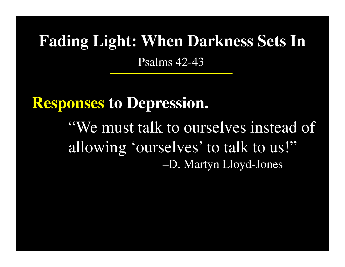**Responses to Depression.** "We must talk to ourselves instead of allowing 'ourselves' to talk to us!"–D. Martyn Lloyd-Jones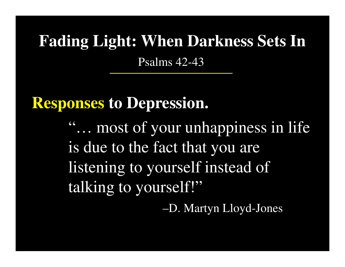### **Responses to Depression.**

"… most of your unhappiness in life is due to the fact that you are listening to yourself instead of talking to yourself!"

–D. Martyn Lloyd-Jones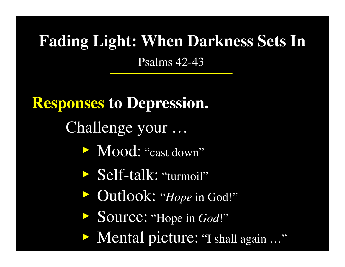**Responses to Depression.**

Challenge your …

- Mood: "cast down"**►**
- Self-talk: "turmoil"**►**
- Outlook: "*Hope* in God!" **►**
- Source: "Hope in *God*!"**►**
- Mental picture: "I shall again …"**►**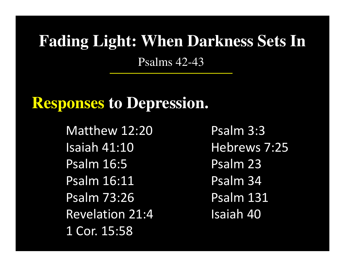### **Responses to Depression.**

Matthew 12:20 Isaiah 41:10 Psalm 16:5 Psalm 16:11 Psalm 73:26 Revelation 21:4 1 Cor. 15:58

Psalm 3:3 Hebrews 7:25 Psalm 23 Psalm 34 Psalm 131 Isaiah 40